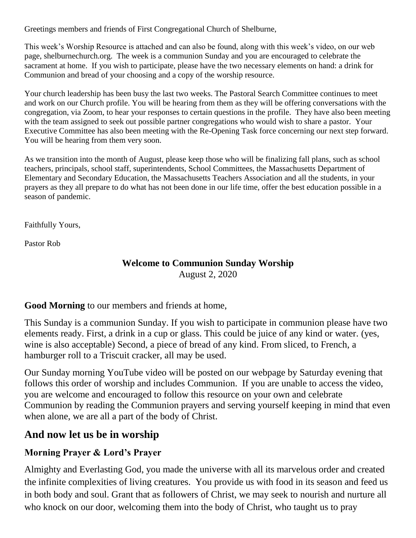Greetings members and friends of First Congregational Church of Shelburne,

This week's Worship Resource is attached and can also be found, along with this week's video, on our web page, shelburnechurch.org. The week is a communion Sunday and you are encouraged to celebrate the sacrament at home. If you wish to participate, please have the two necessary elements on hand: a drink for Communion and bread of your choosing and a copy of the worship resource.

Your church leadership has been busy the last two weeks. The Pastoral Search Committee continues to meet and work on our Church profile. You will be hearing from them as they will be offering conversations with the congregation, via Zoom, to hear your responses to certain questions in the profile. They have also been meeting with the team assigned to seek out possible partner congregations who would wish to share a pastor. Your Executive Committee has also been meeting with the Re-Opening Task force concerning our next step forward. You will be hearing from them very soon.

As we transition into the month of August, please keep those who will be finalizing fall plans, such as school teachers, principals, school staff, superintendents, School Committees, the Massachusetts Department of Elementary and Secondary Education, the Massachusetts Teachers Association and all the students, in your prayers as they all prepare to do what has not been done in our life time, offer the best education possible in a season of pandemic.

Faithfully Yours,

Pastor Rob

### **Welcome to Communion Sunday Worship** August 2, 2020

**Good Morning** to our members and friends at home,

This Sunday is a communion Sunday. If you wish to participate in communion please have two elements ready. First, a drink in a cup or glass. This could be juice of any kind or water. (yes, wine is also acceptable) Second, a piece of bread of any kind. From sliced, to French, a hamburger roll to a Triscuit cracker, all may be used.

Our Sunday morning YouTube video will be posted on our webpage by Saturday evening that follows this order of worship and includes Communion. If you are unable to access the video, you are welcome and encouraged to follow this resource on your own and celebrate Communion by reading the Communion prayers and serving yourself keeping in mind that even when alone, we are all a part of the body of Christ.

# **And now let us be in worship**

## **Morning Prayer & Lord's Prayer**

Almighty and Everlasting God, you made the universe with all its marvelous order and created the infinite complexities of living creatures. You provide us with food in its season and feed us in both body and soul. Grant that as followers of Christ, we may seek to nourish and nurture all who knock on our door, welcoming them into the body of Christ, who taught us to pray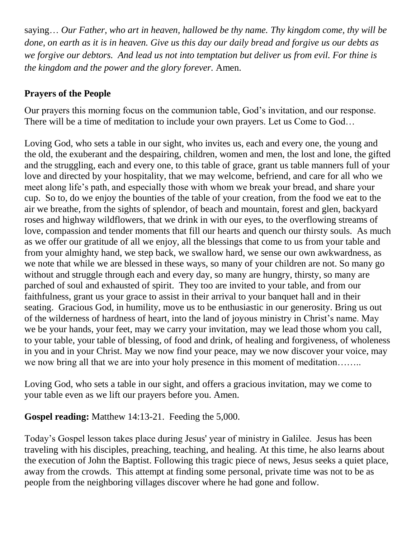saying… *Our Father, who art in heaven, hallowed be thy name. Thy kingdom come, thy will be done, on earth as it is in heaven. Give us this day our daily bread and forgive us our debts as we forgive our debtors. And lead us not into temptation but deliver us from evil. For thine is the kingdom and the power and the glory forever.* Amen.

## **Prayers of the People**

Our prayers this morning focus on the communion table, God's invitation, and our response. There will be a time of meditation to include your own prayers. Let us Come to God…

Loving God, who sets a table in our sight, who invites us, each and every one, the young and the old, the exuberant and the despairing, children, women and men, the lost and lone, the gifted and the struggling, each and every one, to this table of grace, grant us table manners full of your love and directed by your hospitality, that we may welcome, befriend, and care for all who we meet along life's path, and especially those with whom we break your bread, and share your cup. So to, do we enjoy the bounties of the table of your creation, from the food we eat to the air we breathe, from the sights of splendor, of beach and mountain, forest and glen, backyard roses and highway wildflowers, that we drink in with our eyes, to the overflowing streams of love, compassion and tender moments that fill our hearts and quench our thirsty souls. As much as we offer our gratitude of all we enjoy, all the blessings that come to us from your table and from your almighty hand, we step back, we swallow hard, we sense our own awkwardness, as we note that while we are blessed in these ways, so many of your children are not. So many go without and struggle through each and every day, so many are hungry, thirsty, so many are parched of soul and exhausted of spirit. They too are invited to your table, and from our faithfulness, grant us your grace to assist in their arrival to your banquet hall and in their seating. Gracious God, in humility, move us to be enthusiastic in our generosity. Bring us out of the wilderness of hardness of heart, into the land of joyous ministry in Christ's name. May we be your hands, your feet, may we carry your invitation, may we lead those whom you call, to your table, your table of blessing, of food and drink, of healing and forgiveness, of wholeness in you and in your Christ. May we now find your peace, may we now discover your voice, may we now bring all that we are into your holy presence in this moment of meditation……..

Loving God, who sets a table in our sight, and offers a gracious invitation, may we come to your table even as we lift our prayers before you. Amen.

## **Gospel reading:** Matthew 14:13-21. Feeding the 5,000.

Today's Gospel lesson takes place during Jesus' year of ministry in Galilee. Jesus has been traveling with his disciples, preaching, teaching, and healing. At this time, he also learns about the execution of John the Baptist. Following this tragic piece of news, Jesus seeks a quiet place, away from the crowds. This attempt at finding some personal, private time was not to be as people from the neighboring villages discover where he had gone and follow.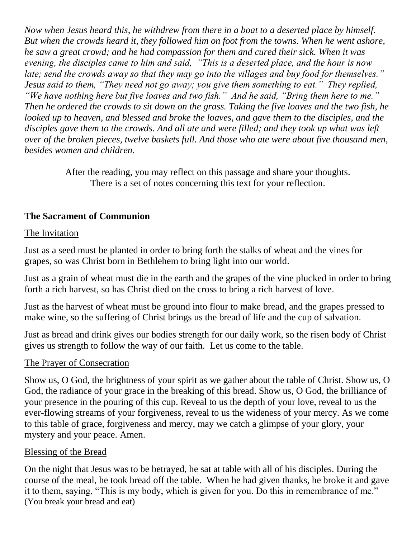*Now when Jesus heard this, he withdrew from there in a boat to a deserted place by himself. But when the crowds heard it, they followed him on foot from the towns. When he went ashore, he saw a great crowd; and he had compassion for them and cured their sick. When it was evening, the disciples came to him and said, "This is a deserted place, and the hour is now late; send the crowds away so that they may go into the villages and buy food for themselves." Jesus said to them, "They need not go away; you give them something to eat." They replied, "We have nothing here but five loaves and two fish." And he said, "Bring them here to me." Then he ordered the crowds to sit down on the grass. Taking the five loaves and the two fish, he looked up to heaven, and blessed and broke the loaves, and gave them to the disciples, and the disciples gave them to the crowds. And all ate and were filled; and they took up what was left over of the broken pieces, twelve baskets full. And those who ate were about five thousand men, besides women and children.*

> After the reading, you may reflect on this passage and share your thoughts. There is a set of notes concerning this text for your reflection.

## **The Sacrament of Communion**

### The Invitation

Just as a seed must be planted in order to bring forth the stalks of wheat and the vines for grapes, so was Christ born in Bethlehem to bring light into our world.

Just as a grain of wheat must die in the earth and the grapes of the vine plucked in order to bring forth a rich harvest, so has Christ died on the cross to bring a rich harvest of love.

Just as the harvest of wheat must be ground into flour to make bread, and the grapes pressed to make wine, so the suffering of Christ brings us the bread of life and the cup of salvation.

Just as bread and drink gives our bodies strength for our daily work, so the risen body of Christ gives us strength to follow the way of our faith. Let us come to the table.

### The Prayer of Consecration

Show us, O God, the brightness of your spirit as we gather about the table of Christ. Show us, O God, the radiance of your grace in the breaking of this bread. Show us, O God, the brilliance of your presence in the pouring of this cup. Reveal to us the depth of your love, reveal to us the ever-flowing streams of your forgiveness, reveal to us the wideness of your mercy. As we come to this table of grace, forgiveness and mercy, may we catch a glimpse of your glory, your mystery and your peace. Amen.

## Blessing of the Bread

On the night that Jesus was to be betrayed, he sat at table with all of his disciples. During the course of the meal, he took bread off the table. When he had given thanks, he broke it and gave it to them, saying, "This is my body, which is given for you. Do this in remembrance of me." (You break your bread and eat)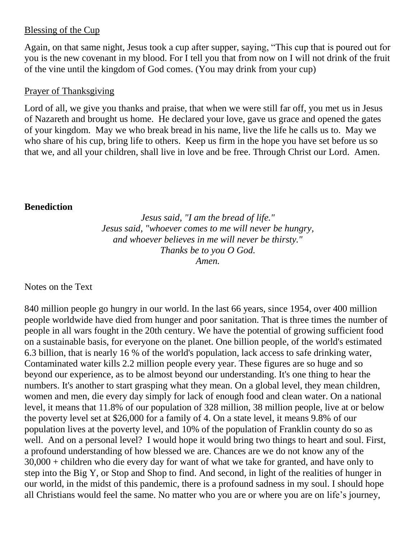### Blessing of the Cup

Again, on that same night, Jesus took a cup after supper, saying, "This cup that is poured out for you is the new covenant in my blood. For I tell you that from now on I will not drink of the fruit of the vine until the kingdom of God comes. (You may drink from your cup)

#### Prayer of Thanksgiving

Lord of all, we give you thanks and praise, that when we were still far off, you met us in Jesus of Nazareth and brought us home. He declared your love, gave us grace and opened the gates of your kingdom. May we who break bread in his name, live the life he calls us to. May we who share of his cup, bring life to others. Keep us firm in the hope you have set before us so that we, and all your children, shall live in love and be free. Through Christ our Lord. Amen.

### **Benediction**

*Jesus said, "I am the bread of life." Jesus said, "whoever comes to me will never be hungry, and whoever believes in me will never be thirsty." Thanks be to you O God. Amen.*

Notes on the Text

840 million people go hungry in our world. In the last 66 years, since 1954, over 400 million people worldwide have died from hunger and poor sanitation. That is three times the number of people in all wars fought in the 20th century. We have the potential of growing sufficient food on a sustainable basis, for everyone on the planet. One billion people, of the world's estimated 6.3 billion, that is nearly 16 % of the world's population, lack access to safe drinking water, Contaminated water kills 2.2 million people every year. These figures are so huge and so beyond our experience, as to be almost beyond our understanding. It's one thing to hear the numbers. It's another to start grasping what they mean. On a global level, they mean children, women and men, die every day simply for lack of enough food and clean water. On a national level, it means that 11.8% of our population of 328 million, 38 million people, live at or below the poverty level set at \$26,000 for a family of 4. On a state level, it means 9.8% of our population lives at the poverty level, and 10% of the population of Franklin county do so as well. And on a personal level? I would hope it would bring two things to heart and soul. First, a profound understanding of how blessed we are. Chances are we do not know any of the 30,000 + children who die every day for want of what we take for granted, and have only to step into the Big Y, or Stop and Shop to find. And second, in light of the realities of hunger in our world, in the midst of this pandemic, there is a profound sadness in my soul. I should hope all Christians would feel the same. No matter who you are or where you are on life's journey,